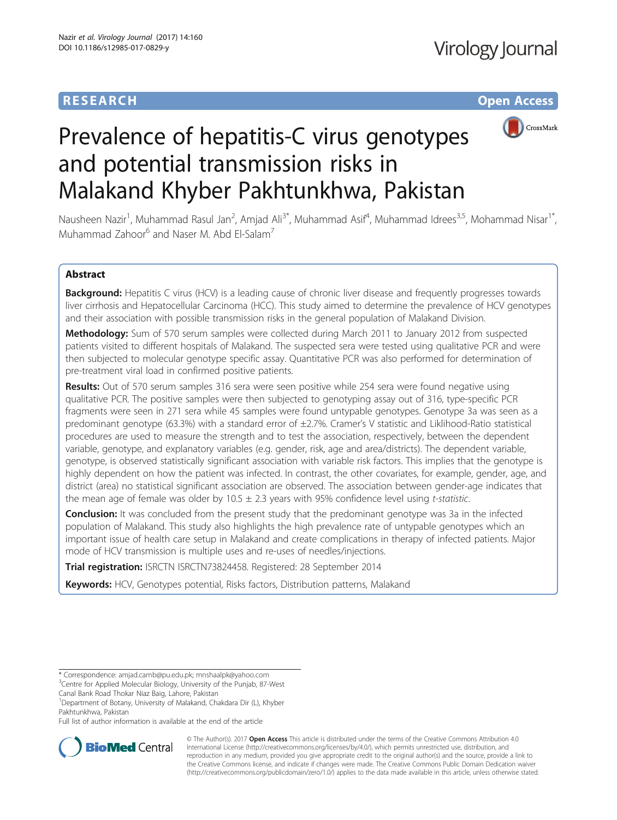# **RESEARCH CHE Open Access**



# Prevalence of hepatitis-C virus genotypes and potential transmission risks in Malakand Khyber Pakhtunkhwa, Pakistan

Nausheen Nazir<sup>1</sup>, Muhammad Rasul Jan<sup>2</sup>, Amjad Ali<sup>3\*</sup>, Muhammad Asif<sup>4</sup>, Muhammad Idrees<sup>3,5</sup>, Mohammad Nisar<sup>1\*</sup>, Muhammad Zahoor<sup>6</sup> and Naser M. Abd El-Salam<sup>7</sup>

# Abstract

Background: Hepatitis C virus (HCV) is a leading cause of chronic liver disease and frequently progresses towards liver cirrhosis and Hepatocellular Carcinoma (HCC). This study aimed to determine the prevalence of HCV genotypes and their association with possible transmission risks in the general population of Malakand Division.

Methodology: Sum of 570 serum samples were collected during March 2011 to January 2012 from suspected patients visited to different hospitals of Malakand. The suspected sera were tested using qualitative PCR and were then subjected to molecular genotype specific assay. Quantitative PCR was also performed for determination of pre-treatment viral load in confirmed positive patients.

Results: Out of 570 serum samples 316 sera were seen positive while 254 sera were found negative using qualitative PCR. The positive samples were then subjected to genotyping assay out of 316, type-specific PCR fragments were seen in 271 sera while 45 samples were found untypable genotypes. Genotype 3a was seen as a predominant genotype (63.3%) with a standard error of ±2.7%. Cramer's V statistic and Liklihood-Ratio statistical procedures are used to measure the strength and to test the association, respectively, between the dependent variable, genotype, and explanatory variables (e.g. gender, risk, age and area/districts). The dependent variable, genotype, is observed statistically significant association with variable risk factors. This implies that the genotype is highly dependent on how the patient was infected. In contrast, the other covariates, for example, gender, age, and district (area) no statistical significant association are observed. The association between gender-age indicates that the mean age of female was older by  $10.5 \pm 2.3$  years with 95% confidence level using t-statistic.

**Conclusion:** It was concluded from the present study that the predominant genotype was 3a in the infected population of Malakand. This study also highlights the high prevalence rate of untypable genotypes which an important issue of health care setup in Malakand and create complications in therapy of infected patients. Major mode of HCV transmission is multiple uses and re-uses of needles/injections.

Trial registration: ISRCTN ISRCTN73824458. Registered: 28 September 2014

Keywords: HCV, Genotypes potential, Risks factors, Distribution patterns, Malakand

<sup>1</sup>Department of Botany, University of Malakand, Chakdara Dir (L), Khyber

Full list of author information is available at the end of the article



© The Author(s). 2017 **Open Access** This article is distributed under the terms of the Creative Commons Attribution 4.0 International License [\(http://creativecommons.org/licenses/by/4.0/](http://creativecommons.org/licenses/by/4.0/)), which permits unrestricted use, distribution, and reproduction in any medium, provided you give appropriate credit to the original author(s) and the source, provide a link to the Creative Commons license, and indicate if changes were made. The Creative Commons Public Domain Dedication waiver [\(http://creativecommons.org/publicdomain/zero/1.0/](http://creativecommons.org/publicdomain/zero/1.0/)) applies to the data made available in this article, unless otherwise stated.

<sup>\*</sup> Correspondence: [amjad.camb@pu.edu.pk;](mailto:amjad.camb@pu.edu.pk) [mnshaalpk@yahoo.com](mailto:mnshaalpk@yahoo.com) <sup>3</sup>

<sup>&</sup>lt;sup>3</sup> Centre for Applied Molecular Biology, University of the Punjab, 87-West Canal Bank Road Thokar Niaz Baig, Lahore, Pakistan

Pakhtunkhwa, Pakistan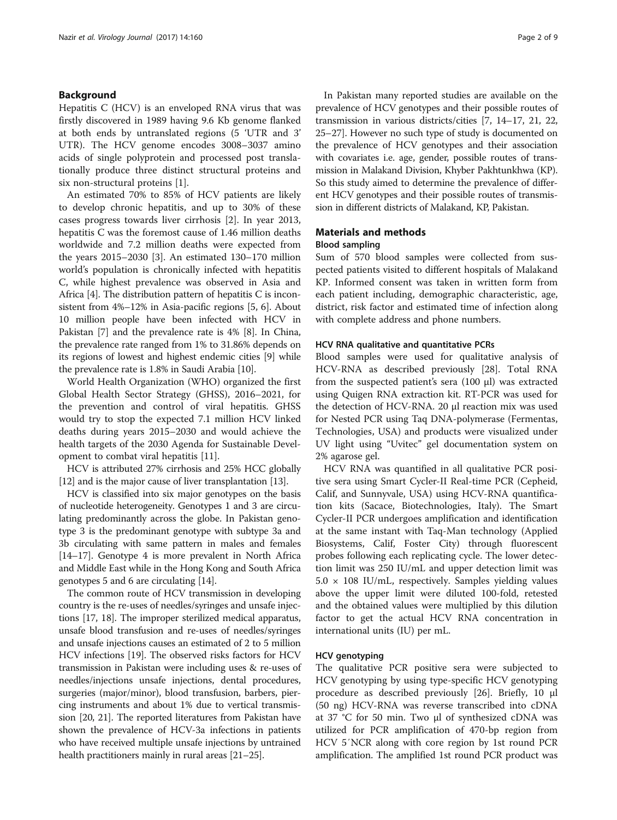# Background

Hepatitis C (HCV) is an enveloped RNA virus that was firstly discovered in 1989 having 9.6 Kb genome flanked at both ends by untranslated regions (5 'UTR and 3' UTR). The HCV genome encodes 3008–3037 amino acids of single polyprotein and processed post translationally produce three distinct structural proteins and six non-structural proteins [\[1](#page-7-0)].

An estimated 70% to 85% of HCV patients are likely to develop chronic hepatitis, and up to 30% of these cases progress towards liver cirrhosis [[2](#page-7-0)]. In year 2013, hepatitis C was the foremost cause of 1.46 million deaths worldwide and 7.2 million deaths were expected from the years 2015–2030 [[3\]](#page-7-0). An estimated 130–170 million world's population is chronically infected with hepatitis C, while highest prevalence was observed in Asia and Africa [[4\]](#page-8-0). The distribution pattern of hepatitis C is inconsistent from 4%–12% in Asia-pacific regions [[5, 6\]](#page-8-0). About 10 million people have been infected with HCV in Pakistan [\[7\]](#page-8-0) and the prevalence rate is 4% [\[8](#page-8-0)]. In China, the prevalence rate ranged from 1% to 31.86% depends on its regions of lowest and highest endemic cities [[9\]](#page-8-0) while the prevalence rate is 1.8% in Saudi Arabia [\[10](#page-8-0)].

World Health Organization (WHO) organized the first Global Health Sector Strategy (GHSS), 2016–2021, for the prevention and control of viral hepatitis. GHSS would try to stop the expected 7.1 million HCV linked deaths during years 2015–2030 and would achieve the health targets of the 2030 Agenda for Sustainable Development to combat viral hepatitis [[11\]](#page-8-0).

HCV is attributed 27% cirrhosis and 25% HCC globally [[12](#page-8-0)] and is the major cause of liver transplantation [[13](#page-8-0)].

HCV is classified into six major genotypes on the basis of nucleotide heterogeneity. Genotypes 1 and 3 are circulating predominantly across the globe. In Pakistan genotype 3 is the predominant genotype with subtype 3a and 3b circulating with same pattern in males and females [[14](#page-8-0)–[17\]](#page-8-0). Genotype 4 is more prevalent in North Africa and Middle East while in the Hong Kong and South Africa genotypes 5 and 6 are circulating [\[14\]](#page-8-0).

The common route of HCV transmission in developing country is the re-uses of needles/syringes and unsafe injections [[17](#page-8-0), [18](#page-8-0)]. The improper sterilized medical apparatus, unsafe blood transfusion and re-uses of needles/syringes and unsafe injections causes an estimated of 2 to 5 million HCV infections [\[19](#page-8-0)]. The observed risks factors for HCV transmission in Pakistan were including uses & re-uses of needles/injections unsafe injections, dental procedures, surgeries (major/minor), blood transfusion, barbers, piercing instruments and about 1% due to vertical transmission [[20](#page-8-0), [21](#page-8-0)]. The reported literatures from Pakistan have shown the prevalence of HCV-3a infections in patients who have received multiple unsafe injections by untrained health practitioners mainly in rural areas [[21](#page-8-0)–[25](#page-8-0)].

In Pakistan many reported studies are available on the prevalence of HCV genotypes and their possible routes of transmission in various districts/cities [\[7, 14](#page-8-0)–[17](#page-8-0), [21](#page-8-0), [22](#page-8-0), [25](#page-8-0)–[27\]](#page-8-0). However no such type of study is documented on the prevalence of HCV genotypes and their association with covariates i.e. age, gender, possible routes of transmission in Malakand Division, Khyber Pakhtunkhwa (KP). So this study aimed to determine the prevalence of different HCV genotypes and their possible routes of transmission in different districts of Malakand, KP, Pakistan.

### Materials and methods

### Blood sampling

Sum of 570 blood samples were collected from suspected patients visited to different hospitals of Malakand KP. Informed consent was taken in written form from each patient including, demographic characteristic, age, district, risk factor and estimated time of infection along with complete address and phone numbers.

### HCV RNA qualitative and quantitative PCRs

Blood samples were used for qualitative analysis of HCV-RNA as described previously [[28\]](#page-8-0). Total RNA from the suspected patient's sera  $(100 \mu l)$  was extracted using Quigen RNA extraction kit. RT-PCR was used for the detection of HCV-RNA. 20 μl reaction mix was used for Nested PCR using Taq DNA-polymerase (Fermentas, Technologies, USA) and products were visualized under UV light using "Uvitec" gel documentation system on 2% agarose gel.

HCV RNA was quantified in all qualitative PCR positive sera using Smart Cycler-II Real-time PCR (Cepheid, Calif, and Sunnyvale, USA) using HCV-RNA quantification kits (Sacace, Biotechnologies, Italy). The Smart Cycler-II PCR undergoes amplification and identification at the same instant with Taq-Man technology (Applied Biosystems, Calif, Foster City) through fluorescent probes following each replicating cycle. The lower detection limit was 250 IU/mL and upper detection limit was  $5.0 \times 108$  IU/mL, respectively. Samples yielding values above the upper limit were diluted 100-fold, retested and the obtained values were multiplied by this dilution factor to get the actual HCV RNA concentration in international units (IU) per mL.

### HCV genotyping

The qualitative PCR positive sera were subjected to HCV genotyping by using type-specific HCV genotyping procedure as described previously [\[26](#page-8-0)]. Briefly, 10 μl (50 ng) HCV-RNA was reverse transcribed into cDNA at 37 °C for 50 min. Two μl of synthesized cDNA was utilized for PCR amplification of 470-bp region from HCV 5′NCR along with core region by 1st round PCR amplification. The amplified 1st round PCR product was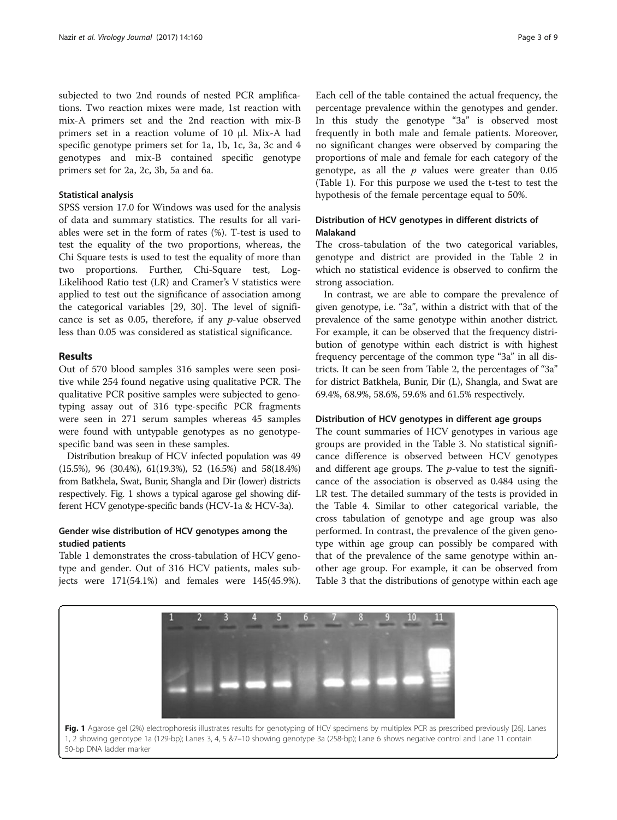subjected to two 2nd rounds of nested PCR amplifications. Two reaction mixes were made, 1st reaction with mix-A primers set and the 2nd reaction with mix-B primers set in a reaction volume of 10 μl. Mix-A had specific genotype primers set for 1a, 1b, 1c, 3a, 3c and 4 genotypes and mix-B contained specific genotype primers set for 2a, 2c, 3b, 5a and 6a.

#### Statistical analysis

SPSS version 17.0 for Windows was used for the analysis of data and summary statistics. The results for all variables were set in the form of rates (%). T-test is used to test the equality of the two proportions, whereas, the Chi Square tests is used to test the equality of more than two proportions. Further, Chi-Square test, Log-Likelihood Ratio test (LR) and Cramer's V statistics were applied to test out the significance of association among the categorical variables [\[29](#page-8-0), [30](#page-8-0)]. The level of significance is set as 0.05, therefore, if any p-value observed less than 0.05 was considered as statistical significance.

# Results

Out of 570 blood samples 316 samples were seen positive while 254 found negative using qualitative PCR. The qualitative PCR positive samples were subjected to genotyping assay out of 316 type-specific PCR fragments were seen in 271 serum samples whereas 45 samples were found with untypable genotypes as no genotypespecific band was seen in these samples.

Distribution breakup of HCV infected population was 49 (15.5%), 96 (30.4%), 61(19.3%), 52 (16.5%) and 58(18.4%) from Batkhela, Swat, Bunir, Shangla and Dir (lower) districts respectively. Fig. 1 shows a typical agarose gel showing different HCV genotype-specific bands (HCV-1a & HCV-3a).

# Gender wise distribution of HCV genotypes among the studied patients

Table [1](#page-3-0) demonstrates the cross-tabulation of HCV genotype and gender. Out of 316 HCV patients, males subjects were 171(54.1%) and females were 145(45.9%).

Each cell of the table contained the actual frequency, the percentage prevalence within the genotypes and gender. In this study the genotype "3a" is observed most frequently in both male and female patients. Moreover, no significant changes were observed by comparing the proportions of male and female for each category of the genotype, as all the  $p$  values were greater than 0.05 (Table [1](#page-3-0)). For this purpose we used the t-test to test the hypothesis of the female percentage equal to 50%.

# Distribution of HCV genotypes in different districts of Malakand

The cross-tabulation of the two categorical variables, genotype and district are provided in the Table [2](#page-3-0) in which no statistical evidence is observed to confirm the strong association.

In contrast, we are able to compare the prevalence of given genotype, i.e. "3a", within a district with that of the prevalence of the same genotype within another district. For example, it can be observed that the frequency distribution of genotype within each district is with highest frequency percentage of the common type "3a" in all districts. It can be seen from Table [2](#page-3-0), the percentages of "3a" for district Batkhela, Bunir, Dir (L), Shangla, and Swat are 69.4%, 68.9%, 58.6%, 59.6% and 61.5% respectively.

#### Distribution of HCV genotypes in different age groups

The count summaries of HCV genotypes in various age groups are provided in the Table [3](#page-4-0). No statistical significance difference is observed between HCV genotypes and different age groups. The  $p$ -value to test the significance of the association is observed as 0.484 using the LR test. The detailed summary of the tests is provided in the Table [4.](#page-4-0) Similar to other categorical variable, the cross tabulation of genotype and age group was also performed. In contrast, the prevalence of the given genotype within age group can possibly be compared with that of the prevalence of the same genotype within another age group. For example, it can be observed from Table [3](#page-4-0) that the distributions of genotype within each age

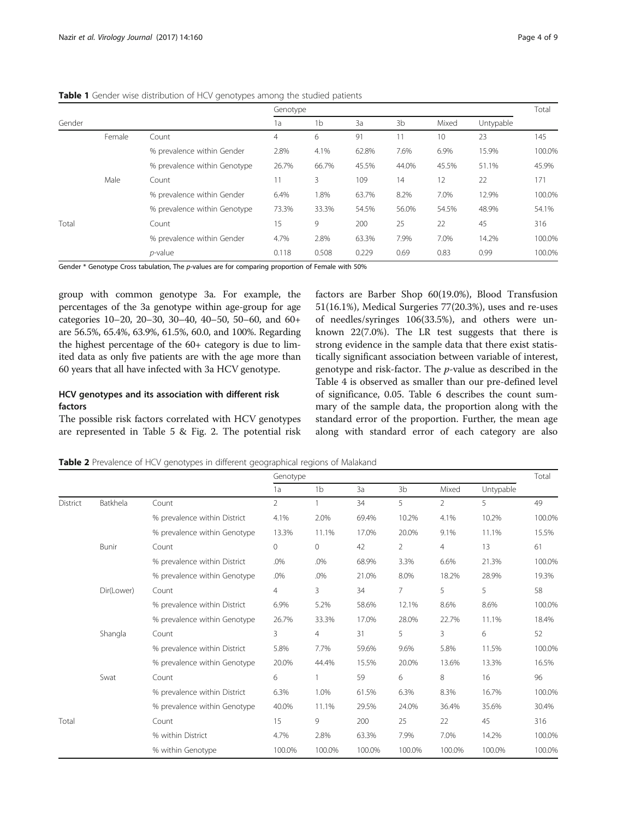<span id="page-3-0"></span>Table 1 Gender wise distribution of HCV genotypes among the studied patients

|        |        |                              | Genotype |                |       |       |                 |           |        |
|--------|--------|------------------------------|----------|----------------|-------|-------|-----------------|-----------|--------|
| Gender |        |                              | 1a       | 1 <sub>b</sub> | 3a    | 3b    | Mixed           | Untypable |        |
|        | Female | Count                        | 4        | 6              | 91    |       | 10 <sup>°</sup> | 23        | 145    |
|        |        | % prevalence within Gender   | 2.8%     | 4.1%           | 62.8% | 7.6%  | 6.9%            | 15.9%     | 100.0% |
|        |        | % prevalence within Genotype | 26.7%    | 66.7%          | 45.5% | 44.0% | 45.5%           | 51.1%     | 45.9%  |
|        | Male   | Count                        |          | 3              | 109   | 14    | 12              | 22        | 171    |
|        |        | % prevalence within Gender   | 6.4%     | 1.8%           | 63.7% | 8.2%  | 7.0%            | 12.9%     | 100.0% |
|        |        | % prevalence within Genotype | 73.3%    | 33.3%          | 54.5% | 56.0% | 54.5%           | 48.9%     | 54.1%  |
| Total  |        | Count                        | 15       | 9              | 200   | 25    | 22              | 45        | 316    |
|        |        | % prevalence within Gender   | 4.7%     | 2.8%           | 63.3% | 7.9%  | 7.0%            | 14.2%     | 100.0% |
|        |        | $p$ -value                   | 0.118    | 0.508          | 0.229 | 0.69  | 0.83            | 0.99      | 100.0% |

Gender \* Genotype Cross tabulation, The p-values are for comparing proportion of Female with 50%

group with common genotype 3a. For example, the percentages of the 3a genotype within age-group for age categories 10–20, 20–30, 30–40, 40–50, 50–60, and 60+ are 56.5%, 65.4%, 63.9%, 61.5%, 60.0, and 100%. Regarding the highest percentage of the 60+ category is due to limited data as only five patients are with the age more than 60 years that all have infected with 3a HCV genotype.

# HCV genotypes and its association with different risk factors

The possible risk factors correlated with HCV genotypes are represented in Table [5](#page-5-0) & Fig. [2](#page-5-0). The potential risk factors are Barber Shop 60(19.0%), Blood Transfusion 51(16.1%), Medical Surgeries 77(20.3%), uses and re-uses of needles/syringes 106(33.5%), and others were unknown 22(7.0%). The LR test suggests that there is strong evidence in the sample data that there exist statistically significant association between variable of interest, genotype and risk-factor. The p-value as described in the Table [4](#page-4-0) is observed as smaller than our pre-defined level of significance, 0.05. Table [6](#page-6-0) describes the count summary of the sample data, the proportion along with the standard error of the proportion. Further, the mean age along with standard error of each category are also

Table 2 Prevalence of HCV genotypes in different geographical regions of Malakand

|          |            |                              | Genotype       |                |        |                |                | Total     |        |
|----------|------------|------------------------------|----------------|----------------|--------|----------------|----------------|-----------|--------|
|          |            |                              | 1a             | 1 <sub>b</sub> | 3a     | 3b             | Mixed          | Untypable |        |
| District | Batkhela   | Count                        | $\overline{2}$ | 1              | 34     | 5              | $\overline{2}$ | 5         | 49     |
|          |            | % prevalence within District | 4.1%           | 2.0%           | 69.4%  | 10.2%          | 4.1%           | 10.2%     | 100.0% |
|          |            | % prevalence within Genotype | 13.3%          | 11.1%          | 17.0%  | 20.0%          | 9.1%           | 11.1%     | 15.5%  |
|          | Bunir      | Count                        | $\circ$        | 0              | 42     | $\overline{2}$ | $\overline{4}$ | 13        | 61     |
|          |            | % prevalence within District | .0%            | .0%            | 68.9%  | 3.3%           | 6.6%           | 21.3%     | 100.0% |
|          |            | % prevalence within Genotype | .0%            | .0%            | 21.0%  | 8.0%           | 18.2%          | 28.9%     | 19.3%  |
|          | Dir(Lower) | Count                        | $\overline{4}$ | 3              | 34     | 7              | 5              | 5         | 58     |
|          |            | % prevalence within District | 6.9%           | 5.2%           | 58.6%  | 12.1%          | 8.6%           | 8.6%      | 100.0% |
|          |            | % prevalence within Genotype | 26.7%          | 33.3%          | 17.0%  | 28.0%          | 22.7%          | 11.1%     | 18.4%  |
|          | Shangla    | Count                        | 3              | $\overline{4}$ | 31     | 5              | 3              | 6         | 52     |
|          |            | % prevalence within District | 5.8%           | 7.7%           | 59.6%  | 9.6%           | 5.8%           | 11.5%     | 100.0% |
|          |            | % prevalence within Genotype | 20.0%          | 44.4%          | 15.5%  | 20.0%          | 13.6%          | 13.3%     | 16.5%  |
|          | Swat       | Count                        | 6              | 1              | 59     | 6              | $\,8\,$        | 16        | 96     |
|          |            | % prevalence within District | 6.3%           | 1.0%           | 61.5%  | 6.3%           | 8.3%           | 16.7%     | 100.0% |
|          |            | % prevalence within Genotype | 40.0%          | 11.1%          | 29.5%  | 24.0%          | 36.4%          | 35.6%     | 30.4%  |
| Total    |            | Count                        | 15             | 9              | 200    | 25             | 22             | 45        | 316    |
|          |            | % within District            | 4.7%           | 2.8%           | 63.3%  | 7.9%           | 7.0%           | 14.2%     | 100.0% |
|          |            | % within Genotype            | 100.0%         | 100.0%         | 100.0% | 100.0%         | 100.0%         | 100.0%    | 100.0% |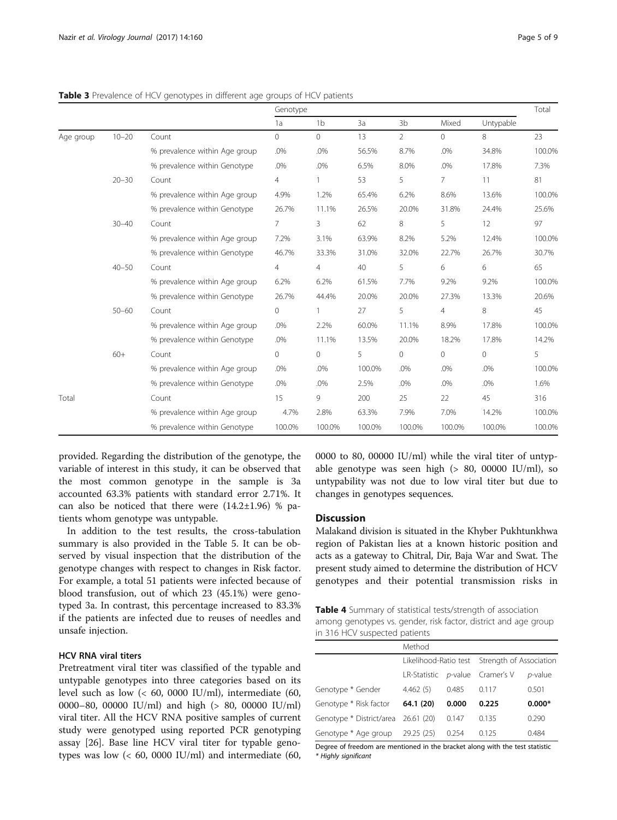|           |           |                               | Genotype       |                |        |                |                |           | Total  |
|-----------|-----------|-------------------------------|----------------|----------------|--------|----------------|----------------|-----------|--------|
|           |           |                               | 1a             | 1 <sub>b</sub> | 3a     | 3 <sub>b</sub> | Mixed          | Untypable |        |
| Age group | $10 - 20$ | Count                         | 0              | $\mathbf{0}$   | 13     | $\overline{2}$ | $\circ$        | 8         | 23     |
|           |           | % prevalence within Age group | .0%            | .0%            | 56.5%  | 8.7%           | .0%            | 34.8%     | 100.0% |
|           |           | % prevalence within Genotype  | .0%            | .0%            | 6.5%   | 8.0%           | .0%            | 17.8%     | 7.3%   |
|           | $20 - 30$ | Count                         | $\overline{4}$ | 1              | 53     | 5              | $\overline{7}$ | 11        | 81     |
|           |           | % prevalence within Age group | 4.9%           | 1.2%           | 65.4%  | 6.2%           | 8.6%           | 13.6%     | 100.0% |
|           |           | % prevalence within Genotype  | 26.7%          | 11.1%          | 26.5%  | 20.0%          | 31.8%          | 24.4%     | 25.6%  |
|           | $30 - 40$ | Count                         | 7              | 3              | 62     | 8              | 5              | 12        | 97     |
|           |           | % prevalence within Age group | 7.2%           | 3.1%           | 63.9%  | 8.2%           | 5.2%           | 12.4%     | 100.0% |
|           |           | % prevalence within Genotype  | 46.7%          | 33.3%          | 31.0%  | 32.0%          | 22.7%          | 26.7%     | 30.7%  |
|           | $40 - 50$ | Count                         | 4              | 4              | 40     | 5              | 6              | 6         | 65     |
|           |           | % prevalence within Age group | 6.2%           | 6.2%           | 61.5%  | 7.7%           | 9.2%           | 9.2%      | 100.0% |
|           |           | % prevalence within Genotype  | 26.7%          | 44.4%          | 20.0%  | 20.0%          | 27.3%          | 13.3%     | 20.6%  |
|           | $50 - 60$ | Count                         | 0              |                | 27     | 5              | 4              | 8         | 45     |
|           |           | % prevalence within Age group | .0%            | 2.2%           | 60.0%  | 11.1%          | 8.9%           | 17.8%     | 100.0% |
|           |           | % prevalence within Genotype  | .0%            | 11.1%          | 13.5%  | 20.0%          | 18.2%          | 17.8%     | 14.2%  |
|           | $60+$     | Count                         | $\overline{0}$ | $\overline{0}$ | 5      | $\overline{0}$ | $\overline{0}$ | 0         | 5      |
|           |           | % prevalence within Age group | .0%            | .0%            | 100.0% | .0%            | .0%            | .0%       | 100.0% |
|           |           | % prevalence within Genotype  | .0%            | .0%            | 2.5%   | .0%            | .0%            | .0%       | 1.6%   |
| Total     |           | Count                         | 15             | 9              | 200    | 25             | 22             | 45        | 316    |
|           |           | % prevalence within Age group | 4.7%           | 2.8%           | 63.3%  | 7.9%           | 7.0%           | 14.2%     | 100.0% |
|           |           | % prevalence within Genotype  | 100.0%         | 100.0%         | 100.0% | 100.0%         | 100.0%         | 100.0%    | 100.0% |

<span id="page-4-0"></span>Table 3 Prevalence of HCV genotypes in different age groups of HCV patients

provided. Regarding the distribution of the genotype, the variable of interest in this study, it can be observed that the most common genotype in the sample is 3a accounted 63.3% patients with standard error 2.71%. It can also be noticed that there were  $(14.2\pm1.96)$  % patients whom genotype was untypable.

In addition to the test results, the cross-tabulation summary is also provided in the Table [5](#page-5-0). It can be observed by visual inspection that the distribution of the genotype changes with respect to changes in Risk factor. For example, a total 51 patients were infected because of blood transfusion, out of which 23 (45.1%) were genotyped 3a. In contrast, this percentage increased to 83.3% if the patients are infected due to reuses of needles and unsafe injection.

# HCV RNA viral titers

Pretreatment viral titer was classified of the typable and untypable genotypes into three categories based on its level such as low  $\left($  < 60, 0000 IU/ml), intermediate (60, 0000–80, 00000 IU/ml) and high (> 80, 00000 IU/ml) viral titer. All the HCV RNA positive samples of current study were genotyped using reported PCR genotyping assay [\[26](#page-8-0)]. Base line HCV viral titer for typable genotypes was low  $\left($  < 60, 0000 IU/ml) and intermediate (60, 0000 to 80, 00000 IU/ml) while the viral titer of untypable genotype was seen high (> 80, 00000 IU/ml), so untypability was not due to low viral titer but due to changes in genotypes sequences.

#### **Discussion**

Malakand division is situated in the Khyber Pukhtunkhwa region of Pakistan lies at a known historic position and acts as a gateway to Chitral, Dir, Baja War and Swat. The present study aimed to determine the distribution of HCV genotypes and their potential transmission risks in

| <b>Table 4</b> Summary of statistical tests/strength of association |
|---------------------------------------------------------------------|
| among genotypes vs. gender, risk factor, district and age group     |
| in 316 HCV suspected patients                                       |

|                                     | Method                          |       |                                               |            |  |  |
|-------------------------------------|---------------------------------|-------|-----------------------------------------------|------------|--|--|
|                                     |                                 |       | Likelihood-Ratio test Strength of Association |            |  |  |
|                                     | LR-Statistic p-value Cramer's V |       |                                               | $p$ -value |  |  |
| Genotype * Gender                   | 4.462(5)                        | 0.485 | 0.117                                         | 0.501      |  |  |
| Genotype * Risk factor              | 64.1 (20)                       | 0.000 | 0.225                                         | $0.000*$   |  |  |
| Genotype * District/area 26.61 (20) |                                 | 0.147 | 0.135                                         | 0.290      |  |  |
| Genotype * Age group 29.25 (25)     |                                 | 0.254 | 0.125                                         | 0.484      |  |  |

Degree of freedom are mentioned in the bracket along with the test statistic \* Highly significant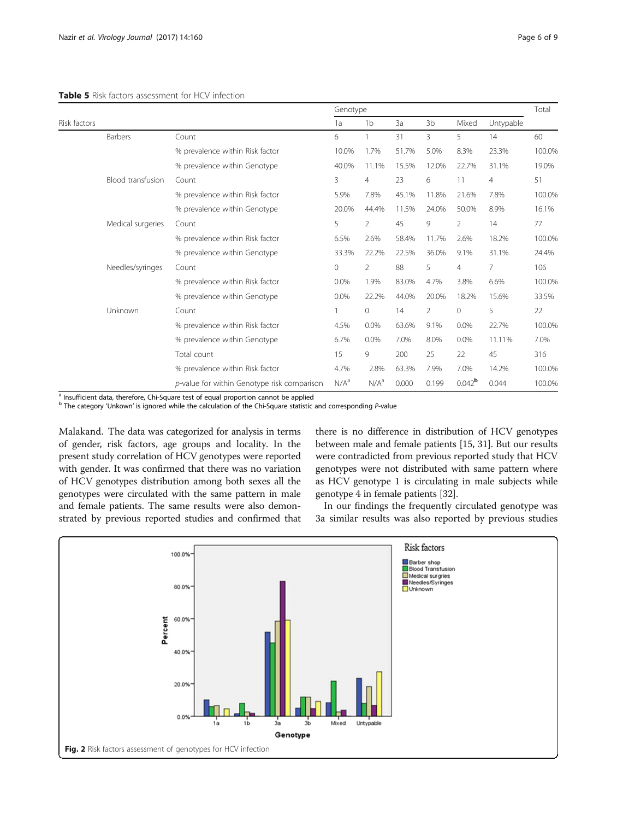#### <span id="page-5-0"></span>Table 5 Risk factors assessment for HCV infection

|              |                   | Genotype                                    |                  |                |       |                |                      |           | Total  |  |
|--------------|-------------------|---------------------------------------------|------------------|----------------|-------|----------------|----------------------|-----------|--------|--|
| Risk factors |                   |                                             |                  | 1 <sub>b</sub> | 3a    | 3b             | Mixed                | Untypable |        |  |
|              | Barbers           | Count                                       | 6                |                | 31    | 3              | 5                    | 14        | 60     |  |
|              |                   | % prevalence within Risk factor             | 10.0%            | 1.7%           | 51.7% | 5.0%           | 8.3%                 | 23.3%     | 100.0% |  |
|              |                   | % prevalence within Genotype                | 40.0%            | 11.1%          | 15.5% | 12.0%          | 22.7%                | 31.1%     | 19.0%  |  |
|              | Blood transfusion | Count                                       | 3                | $\overline{4}$ | 23    | 6              | 11                   | 4         | 51     |  |
|              |                   | % prevalence within Risk factor             | 5.9%             | 7.8%           | 45.1% | 11.8%          | 21.6%                | 7.8%      | 100.0% |  |
|              |                   | % prevalence within Genotype                | 20.0%            | 44.4%          | 11.5% | 24.0%          | 50.0%                | 8.9%      | 16.1%  |  |
|              | Medical surgeries | Count                                       | 5                | $\overline{2}$ | 45    | 9              | 2                    | 14        | 77     |  |
|              |                   | % prevalence within Risk factor             | 6.5%             | 2.6%           | 58.4% | 11.7%          | 2.6%                 | 18.2%     | 100.0% |  |
|              |                   | % prevalence within Genotype                | 33.3%            | 22.2%          | 22.5% | 36.0%          | 9.1%                 | 31.1%     | 24.4%  |  |
|              | Needles/syringes  | Count                                       | $\mathbf 0$      | 2              | 88    | 5              | 4                    | 7         | 106    |  |
|              |                   | % prevalence within Risk factor             | 0.0%             | 1.9%           | 83.0% | 4.7%           | 3.8%                 | 6.6%      | 100.0% |  |
|              |                   | % prevalence within Genotype                | 0.0%             | 22.2%          | 44.0% | 20.0%          | 18.2%                | 15.6%     | 33.5%  |  |
|              | Unknown           | Count                                       | 1                | 0              | 14    | $\overline{2}$ | 0                    | 5         | 22     |  |
|              |                   | % prevalence within Risk factor             | 4.5%             | 0.0%           | 63.6% | 9.1%           | 0.0%                 | 22.7%     | 100.0% |  |
|              |                   | % prevalence within Genotype                | 6.7%             | 0.0%           | 7.0%  | 8.0%           | 0.0%                 | 11.11%    | 7.0%   |  |
|              |                   | Total count                                 | 15               | 9              | 200   | 25             | 22                   | 45        | 316    |  |
|              |                   | % prevalence within Risk factor             | 4.7%             | 2.8%           | 63.3% | 7.9%           | 7.0%                 | 14.2%     | 100.0% |  |
|              |                   | p-value for within Genotype risk comparison | N/A <sup>a</sup> | $N/A^a$        | 0.000 | 0.199          | $0.042$ <sup>b</sup> | 0.044     | 100.0% |  |

<sup>a</sup> Insufficient data, therefore, Chi-Square test of equal proportion cannot be applied

<sup>b</sup> The category 'Unkown' is ignored while the calculation of the Chi-Square statistic and corresponding P-value

Malakand. The data was categorized for analysis in terms of gender, risk factors, age groups and locality. In the present study correlation of HCV genotypes were reported with gender. It was confirmed that there was no variation of HCV genotypes distribution among both sexes all the genotypes were circulated with the same pattern in male and female patients. The same results were also demonstrated by previous reported studies and confirmed that

there is no difference in distribution of HCV genotypes between male and female patients [[15](#page-8-0), [31\]](#page-8-0). But our results were contradicted from previous reported study that HCV genotypes were not distributed with same pattern where as HCV genotype 1 is circulating in male subjects while genotype 4 in female patients [\[32](#page-8-0)].

In our findings the frequently circulated genotype was 3a similar results was also reported by previous studies

![](_page_5_Figure_8.jpeg)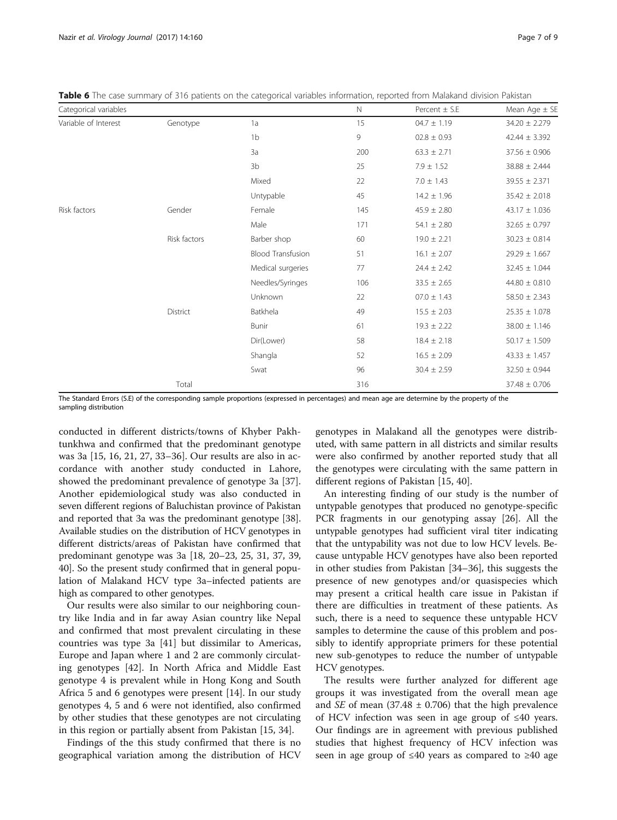| Categorical variables |              |                          | $\mathbb N$ | Percent $\pm$ S.E | Mean Age $\pm$ SE |
|-----------------------|--------------|--------------------------|-------------|-------------------|-------------------|
| Variable of Interest  | Genotype     | 1a                       | 15          | $04.7 \pm 1.19$   | $34.20 \pm 2.279$ |
|                       |              | 1 <sub>b</sub>           | 9           | $02.8 \pm 0.93$   | $42.44 \pm 3.392$ |
|                       |              | 3a                       | 200         | $63.3 \pm 2.71$   | $37.56 \pm 0.906$ |
|                       |              | 3 <sub>b</sub>           | 25          | $7.9 \pm 1.52$    | $38.88 \pm 2.444$ |
|                       |              | Mixed                    | 22          | $7.0 \pm 1.43$    | $39.55 \pm 2.371$ |
|                       |              | Untypable                | 45          | $14.2 \pm 1.96$   | $35.42 \pm 2.018$ |
| Risk factors          | Gender       | Female                   | 145         | $45.9 \pm 2.80$   | $43.17 \pm 1.036$ |
|                       |              | Male                     | 171         | 54.1 $\pm$ 2.80   | $32.65 \pm 0.797$ |
|                       | Risk factors | Barber shop              | 60          | $19.0 \pm 2.21$   | $30.23 \pm 0.814$ |
|                       |              | <b>Blood Transfusion</b> | 51          | $16.1 \pm 2.07$   | $29.29 \pm 1.667$ |
|                       |              | Medical surgeries        | 77          | $24.4 \pm 2.42$   | $32.45 \pm 1.044$ |
|                       |              | Needles/Syringes         | 106         | $33.5 \pm 2.65$   | $44.80 \pm 0.810$ |
|                       |              | Unknown                  | 22          | $07.0 \pm 1.43$   | $58.50 \pm 2.343$ |
|                       | District     | Batkhela                 | 49          | $15.5 \pm 2.03$   | $25.35 \pm 1.078$ |
|                       |              | <b>Bunir</b>             | 61          | $19.3 \pm 2.22$   | $38.00 \pm 1.146$ |
|                       |              | Dir(Lower)               | 58          | $18.4 \pm 2.18$   | $50.17 \pm 1.509$ |
|                       |              | Shangla                  | 52          | $16.5 \pm 2.09$   | $43.33 \pm 1.457$ |
|                       |              | Swat                     | 96          | $30.4 \pm 2.59$   | $32.50 \pm 0.944$ |
|                       | Total        |                          | 316         |                   | $37.48 \pm 0.706$ |

<span id="page-6-0"></span>Table 6 The case summary of 316 patients on the categorical variables information, reported from Malakand division Pakistan

The Standard Errors (S.E) of the corresponding sample proportions (expressed in percentages) and mean age are determine by the property of the sampling distribution

conducted in different districts/towns of Khyber Pakhtunkhwa and confirmed that the predominant genotype was 3a [\[15, 16, 21, 27, 33](#page-8-0)–[36](#page-8-0)]. Our results are also in accordance with another study conducted in Lahore, showed the predominant prevalence of genotype 3a [\[37](#page-8-0)]. Another epidemiological study was also conducted in seven different regions of Baluchistan province of Pakistan and reported that 3a was the predominant genotype [[38](#page-8-0)]. Available studies on the distribution of HCV genotypes in different districts/areas of Pakistan have confirmed that predominant genotype was 3a [\[18, 20](#page-8-0)–[23, 25](#page-8-0), [31, 37](#page-8-0), [39](#page-8-0), [40](#page-8-0)]. So the present study confirmed that in general population of Malakand HCV type 3a–infected patients are high as compared to other genotypes.

Our results were also similar to our neighboring country like India and in far away Asian country like Nepal and confirmed that most prevalent circulating in these countries was type 3a [\[41](#page-8-0)] but dissimilar to Americas, Europe and Japan where 1 and 2 are commonly circulating genotypes [[42\]](#page-8-0). In North Africa and Middle East genotype 4 is prevalent while in Hong Kong and South Africa 5 and 6 genotypes were present [\[14](#page-8-0)]. In our study genotypes 4, 5 and 6 were not identified, also confirmed by other studies that these genotypes are not circulating in this region or partially absent from Pakistan [\[15, 34\]](#page-8-0).

Findings of the this study confirmed that there is no geographical variation among the distribution of HCV

genotypes in Malakand all the genotypes were distributed, with same pattern in all districts and similar results were also confirmed by another reported study that all the genotypes were circulating with the same pattern in different regions of Pakistan [[15, 40\]](#page-8-0).

An interesting finding of our study is the number of untypable genotypes that produced no genotype-specific PCR fragments in our genotyping assay [[26](#page-8-0)]. All the untypable genotypes had sufficient viral titer indicating that the untypability was not due to low HCV levels. Because untypable HCV genotypes have also been reported in other studies from Pakistan [\[34](#page-8-0)–[36\]](#page-8-0), this suggests the presence of new genotypes and/or quasispecies which may present a critical health care issue in Pakistan if there are difficulties in treatment of these patients. As such, there is a need to sequence these untypable HCV samples to determine the cause of this problem and possibly to identify appropriate primers for these potential new sub-genotypes to reduce the number of untypable HCV genotypes.

The results were further analyzed for different age groups it was investigated from the overall mean age and SE of mean (37.48  $\pm$  0.706) that the high prevalence of HCV infection was seen in age group of ≤40 years. Our findings are in agreement with previous published studies that highest frequency of HCV infection was seen in age group of ≤40 years as compared to ≥40 age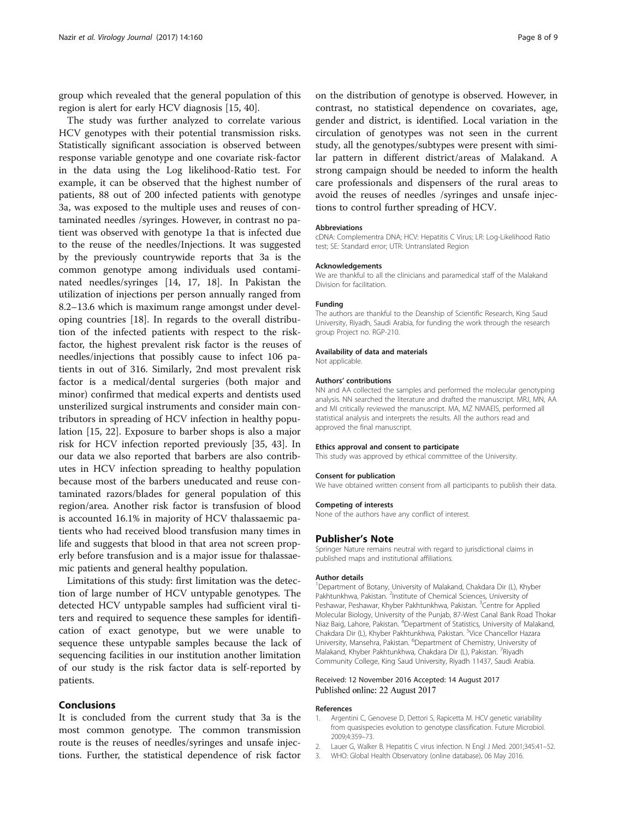<span id="page-7-0"></span>group which revealed that the general population of this region is alert for early HCV diagnosis [[15, 40](#page-8-0)].

The study was further analyzed to correlate various HCV genotypes with their potential transmission risks. Statistically significant association is observed between response variable genotype and one covariate risk-factor in the data using the Log likelihood-Ratio test. For example, it can be observed that the highest number of patients, 88 out of 200 infected patients with genotype 3a, was exposed to the multiple uses and reuses of contaminated needles /syringes. However, in contrast no patient was observed with genotype 1a that is infected due to the reuse of the needles/Injections. It was suggested by the previously countrywide reports that 3a is the common genotype among individuals used contaminated needles/syringes [\[14](#page-8-0), [17, 18](#page-8-0)]. In Pakistan the utilization of injections per person annually ranged from 8.2–13.6 which is maximum range amongst under developing countries [[18\]](#page-8-0). In regards to the overall distribution of the infected patients with respect to the riskfactor, the highest prevalent risk factor is the reuses of needles/injections that possibly cause to infect 106 patients in out of 316. Similarly, 2nd most prevalent risk factor is a medical/dental surgeries (both major and minor) confirmed that medical experts and dentists used unsterilized surgical instruments and consider main contributors in spreading of HCV infection in healthy population [[15](#page-8-0), [22\]](#page-8-0). Exposure to barber shops is also a major risk for HCV infection reported previously [\[35, 43](#page-8-0)]. In our data we also reported that barbers are also contributes in HCV infection spreading to healthy population because most of the barbers uneducated and reuse contaminated razors/blades for general population of this region/area. Another risk factor is transfusion of blood is accounted 16.1% in majority of HCV thalassaemic patients who had received blood transfusion many times in life and suggests that blood in that area not screen properly before transfusion and is a major issue for thalassaemic patients and general healthy population.

Limitations of this study: first limitation was the detection of large number of HCV untypable genotypes. The detected HCV untypable samples had sufficient viral titers and required to sequence these samples for identification of exact genotype, but we were unable to sequence these untypable samples because the lack of sequencing facilities in our institution another limitation of our study is the risk factor data is self-reported by patients.

## Conclusions

It is concluded from the current study that 3a is the most common genotype. The common transmission route is the reuses of needles/syringes and unsafe injections. Further, the statistical dependence of risk factor

on the distribution of genotype is observed. However, in contrast, no statistical dependence on covariates, age, gender and district, is identified. Local variation in the circulation of genotypes was not seen in the current study, all the genotypes/subtypes were present with similar pattern in different district/areas of Malakand. A strong campaign should be needed to inform the health care professionals and dispensers of the rural areas to avoid the reuses of needles /syringes and unsafe injections to control further spreading of HCV.

#### Abbreviations

cDNA: Complementra DNA; HCV: Hepatitis C Virus; LR: Log-Likelihood Ratio test; SE: Standard error; UTR: Untranslated Region

#### Acknowledgements

We are thankful to all the clinicians and paramedical staff of the Malakand Division for facilitation.

#### Funding

The authors are thankful to the Deanship of Scientific Research, King Saud University, Riyadh, Saudi Arabia, for funding the work through the research group Project no. RGP-210.

#### Availability of data and materials

Not applicable.

#### Authors' contributions

NN and AA collected the samples and performed the molecular genotyping analysis. NN searched the literature and drafted the manuscript. MRJ, MN, AA and MI critically reviewed the manuscript. MA, MZ NMAElS, performed all statistical analysis and interprets the results. All the authors read and approved the final manuscript.

#### Ethics approval and consent to participate

This study was approved by ethical committee of the University.

#### Consent for publication We have obtained written consent from all participants to publish their data.

#### Competing of interests

None of the authors have any conflict of interest.

#### Publisher's Note

Springer Nature remains neutral with regard to jurisdictional claims in published maps and institutional affiliations.

#### Author details

<sup>1</sup>Department of Botany, University of Malakand, Chakdara Dir (L), Khyber Pakhtunkhwa, Pakistan. <sup>2</sup>Institute of Chemical Sciences, University of Peshawar, Peshawar, Khyber Pakhtunkhwa, Pakistan. <sup>3</sup>Centre for Applied Molecular Biology, University of the Punjab, 87-West Canal Bank Road Thokar Niaz Baig, Lahore, Pakistan. <sup>4</sup> Department of Statistics, University of Malakand Chakdara Dir (L), Khyber Pakhtunkhwa, Pakistan. <sup>5</sup>Vice Chancellor Hazara University, Mansehra, Pakistan. <sup>6</sup>Department of Chemistry, University of Malakand, Khyber Pakhtunkhwa, Chakdara Dir (L), Pakistan. <sup>7</sup>Riyadh Community College, King Saud University, Riyadh 11437, Saudi Arabia.

#### Received: 12 November 2016 Accepted: 14 August 2017 Published online: 22 August 2017

#### References

- 1. Argentini C, Genovese D, Dettori S, Rapicetta M. HCV genetic variability from quasispecies evolution to genotype classification. Future Microbiol. 2009;4:359–73.
- 2. Lauer G, Walker B. Hepatitis C virus infection. N Engl J Med. 2001;345:41–52.
- 3. WHO: Global Health Observatory (online database). 06 May 2016.